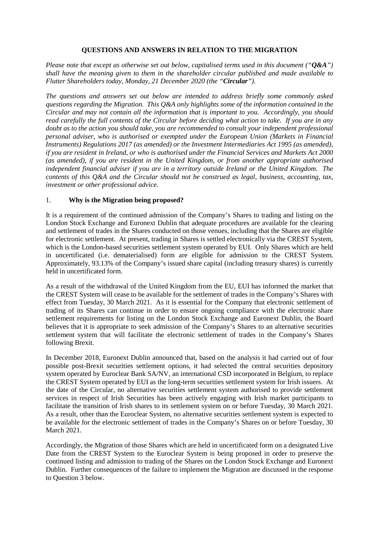## **QUESTIONS AND ANSWERS IN RELATION TO THE MIGRATION**

*Please note that except as otherwise set out below, capitalised terms used in this document ("Q&A") shall have the meaning given to them in the shareholder circular published and made available to Flutter Shareholders today, Monday, 21 December 2020 (the "Circular").*

*The questions and answers set out below are intended to address briefly some commonly asked questions regarding the Migration. This Q&A only highlights some of the information contained in the Circular and may not contain all the information that is important to you. Accordingly, you should read carefully the full contents of the Circular before deciding what action to take. If you are in any doubt as to the action you should take, you are recommended to consult your independent professional personal adviser, who is authorised or exempted under the European Union (Markets in Financial Instruments) Regulations 2017 (as amended) or the Investment Intermediaries Act 1995 (as amended), if you are resident in Ireland, or who is authorised under the Financial Services and Markets Act 2000 (as amended), if you are resident in the United Kingdom, or from another appropriate authorised independent financial adviser if you are in a territory outside Ireland or the United Kingdom. The contents of this Q&A and the Circular should not be construed as legal, business, accounting, tax, investment or other professional advice.*

#### 1. **Why is the Migration being proposed?**

It is a requirement of the continued admission of the Company's Shares to trading and listing on the London Stock Exchange and Euronext Dublin that adequate procedures are available for the clearing and settlement of trades in the Shares conducted on those venues, including that the Shares are eligible for electronic settlement. At present, trading in Shares is settled electronically via the CREST System, which is the London-based securities settlement system operated by EUI. Only Shares which are held in uncertificated (i.e. dematerialised) form are eligible for admission to the CREST System. Approximately, 93.13% of the Company's issued share capital (including treasury shares) is currently held in uncertificated form.

As a result of the withdrawal of the United Kingdom from the EU, EUI has informed the market that the CREST System will cease to be available for the settlement of trades in the Company's Shares with effect from Tuesday, 30 March 2021. As it is essential for the Company that electronic settlement of trading of its Shares can continue in order to ensure ongoing compliance with the electronic share settlement requirements for listing on the London Stock Exchange and Euronext Dublin, the Board believes that it is appropriate to seek admission of the Company's Shares to an alternative securities settlement system that will facilitate the electronic settlement of trades in the Company's Shares following Brexit.

In December 2018, Euronext Dublin announced that, based on the analysis it had carried out of four possible post-Brexit securities settlement options, it had selected the central securities depository system operated by Euroclear Bank SA/NV, an international CSD incorporated in Belgium, to replace the CREST System operated by EUI as the long-term securities settlement system for Irish issuers. At the date of the Circular, no alternative securities settlement system authorised to provide settlement services in respect of Irish Securities has been actively engaging with Irish market participants to facilitate the transition of Irish shares to its settlement system on or before Tuesday, 30 March 2021. As a result, other than the Euroclear System, no alternative securities settlement system is expected to be available for the electronic settlement of trades in the Company's Shares on or before Tuesday, 30 March 2021.

Accordingly, the Migration of those Shares which are held in uncertificated form on a designated Live Date from the CREST System to the Euroclear System is being proposed in order to preserve the continued listing and admission to trading of the Shares on the London Stock Exchange and Euronext Dublin. Further consequences of the failure to implement the Migration are discussed in the response to Question [3](#page-1-0) below.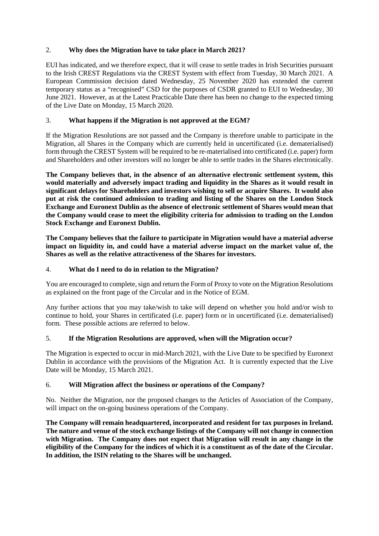# 2. **Why does the Migration have to take place in March 2021?**

EUI has indicated, and we therefore expect, that it will cease to settle trades in Irish Securities pursuant to the Irish CREST Regulations via the CREST System with effect from Tuesday, 30 March 2021. A European Commission decision dated Wednesday, 25 November 2020 has extended the current temporary status as a "recognised" CSD for the purposes of CSDR granted to EUI to Wednesday, 30 June 2021. However, as at the Latest Practicable Date there has been no change to the expected timing of the Live Date on Monday, 15 March 2020.

# <span id="page-1-0"></span>3. **What happens if the Migration is not approved at the EGM?**

If the Migration Resolutions are not passed and the Company is therefore unable to participate in the Migration, all Shares in the Company which are currently held in uncertificated (i.e. dematerialised) form through the CREST System will be required to be re-materialised into certificated (i.e. paper) form and Shareholders and other investors will no longer be able to settle trades in the Shares electronically.

**The Company believes that, in the absence of an alternative electronic settlement system, this would materially and adversely impact trading and liquidity in the Shares as it would result in significant delays for Shareholders and investors wishing to sell or acquire Shares. It would also put at risk the continued admission to trading and listing of the Shares on the London Stock Exchange and Euronext Dublin as the absence of electronic settlement of Shares would mean that the Company would cease to meet the eligibility criteria for admission to trading on the London Stock Exchange and Euronext Dublin.**

**The Company believes that the failure to participate in Migration would have a material adverse impact on liquidity in, and could have a material adverse impact on the market value of, the Shares as well as the relative attractiveness of the Shares for investors.**

## 4. **What do I need to do in relation to the Migration?**

You are encouraged to complete, sign and return the Form of Proxy to vote on the Migration Resolutions as explained on the front page of the Circular and in the Notice of EGM.

Any further actions that you may take/wish to take will depend on whether you hold and/or wish to continue to hold, your Shares in certificated (i.e. paper) form or in uncertificated (i.e. dematerialised) form. These possible actions are referred to below.

#### 5. **If the Migration Resolutions are approved, when will the Migration occur?**

The Migration is expected to occur in mid-March 2021, with the Live Date to be specified by Euronext Dublin in accordance with the provisions of the Migration Act. It is currently expected that the Live Date will be Monday, 15 March 2021.

# 6. **Will Migration affect the business or operations of the Company?**

No. Neither the Migration, nor the proposed changes to the Articles of Association of the Company, will impact on the on-going business operations of the Company.

**The Company will remain headquartered, incorporated and resident for tax purposes in Ireland. The nature and venue of the stock exchange listings of the Company will not change in connection with Migration. The Company does not expect that Migration will result in any change in the eligibility of the Company for the indices of which it is a constituent as of the date of the Circular. In addition, the ISIN relating to the Shares will be unchanged.**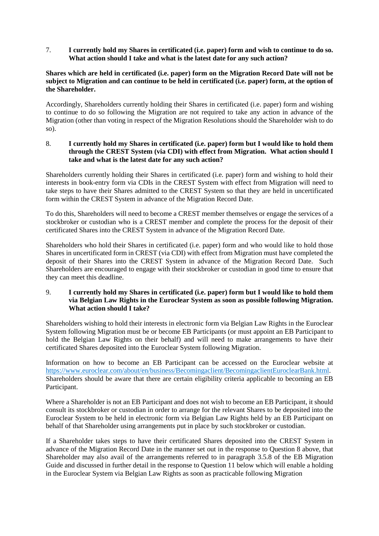7. **I currently hold my Shares in certificated (i.e. paper) form and wish to continue to do so. What action should I take and what is the latest date for any such action?** 

## **Shares which are held in certificated (i.e. paper) form on the Migration Record Date will not be subject to Migration and can continue to be held in certificated (i.e. paper) form, at the option of the Shareholder.**

Accordingly, Shareholders currently holding their Shares in certificated (i.e. paper) form and wishing to continue to do so following the Migration are not required to take any action in advance of the Migration (other than voting in respect of the Migration Resolutions should the Shareholder wish to do so).

<span id="page-2-0"></span>8. **I currently hold my Shares in certificated (i.e. paper) form but I would like to hold them through the CREST System (via CDI) with effect from Migration. What action should I take and what is the latest date for any such action?**

Shareholders currently holding their Shares in certificated (i.e. paper) form and wishing to hold their interests in book-entry form via CDIs in the CREST System with effect from Migration will need to take steps to have their Shares admitted to the CREST System so that they are held in uncertificated form within the CREST System in advance of the Migration Record Date.

To do this, Shareholders will need to become a CREST member themselves or engage the services of a stockbroker or custodian who is a CREST member and complete the process for the deposit of their certificated Shares into the CREST System in advance of the Migration Record Date.

Shareholders who hold their Shares in certificated (i.e. paper) form and who would like to hold those Shares in uncertificated form in CREST (via CDI) with effect from Migration must have completed the deposit of their Shares into the CREST System in advance of the Migration Record Date. Such Shareholders are encouraged to engage with their stockbroker or custodian in good time to ensure that they can meet this deadline.

## 9. **I currently hold my Shares in certificated (i.e. paper) form but I would like to hold them via Belgian Law Rights in the Euroclear System as soon as possible following Migration. What action should I take?**

Shareholders wishing to hold their interests in electronic form via Belgian Law Rights in the Euroclear System following Migration must be or become EB Participants (or must appoint an EB Participant to hold the Belgian Law Rights on their behalf) and will need to make arrangements to have their certificated Shares deposited into the Euroclear System following Migration.

Information on how to become an EB Participant can be accessed on the Euroclear website at [https://www.euroclear.com/about/en/business/Becomingaclient/BecomingaclientEuroclearBank.html.](https://www.euroclear.com/about/en/business/Becomingaclient/BecomingaclientEuroclearBank.html) Shareholders should be aware that there are certain eligibility criteria applicable to becoming an EB Participant.

Where a Shareholder is not an EB Participant and does not wish to become an EB Participant, it should consult its stockbroker or custodian in order to arrange for the relevant Shares to be deposited into the Euroclear System to be held in electronic form via Belgian Law Rights held by an EB Participant on behalf of that Shareholder using arrangements put in place by such stockbroker or custodian.

If a Shareholder takes steps to have their certificated Shares deposited into the CREST System in advance of the Migration Record Date in the manner set out in the response to Question [8](#page-2-0) above, that Shareholder may also avail of the arrangements referred to in paragraph 3.5.8 of the EB Migration Guide and discussed in further detail in the response to Question [11](#page-3-0) below which will enable a holding in the Euroclear System via Belgian Law Rights as soon as practicable following Migration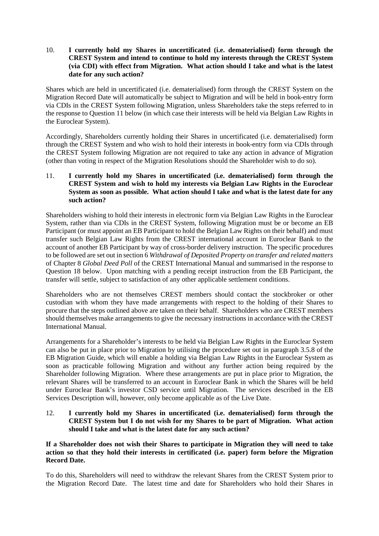10. **I currently hold my Shares in uncertificated (i.e. dematerialised) form through the CREST System and intend to continue to hold my interests through the CREST System (via CDI) with effect from Migration. What action should I take and what is the latest date for any such action?**

Shares which are held in uncertificated (i.e. dematerialised) form through the CREST System on the Migration Record Date will automatically be subject to Migration and will be held in book-entry form via CDIs in the CREST System following Migration, unless Shareholders take the steps referred to in the response to Questio[n 11](#page-3-0) below (in which case their interests will be held via Belgian Law Rights in the Euroclear System).

Accordingly, Shareholders currently holding their Shares in uncertificated (i.e. dematerialised) form through the CREST System and who wish to hold their interests in book-entry form via CDIs through the CREST System following Migration are not required to take any action in advance of Migration (other than voting in respect of the Migration Resolutions should the Shareholder wish to do so).

## <span id="page-3-0"></span>11. **I currently hold my Shares in uncertificated (i.e. dematerialised) form through the CREST System and wish to hold my interests via Belgian Law Rights in the Euroclear System as soon as possible. What action should I take and what is the latest date for any such action?**

Shareholders wishing to hold their interests in electronic form via Belgian Law Rights in the Euroclear System, rather than via CDIs in the CREST System, following Migration must be or become an EB Participant (or must appoint an EB Participant to hold the Belgian Law Rights on their behalf) and must transfer such Belgian Law Rights from the CREST international account in Euroclear Bank to the account of another EB Participant by way of cross-border delivery instruction. The specific procedures to be followed are set out in section 6 *Withdrawal of Deposited Property on transfer and related matters* of Chapter 8 *Global Deed Poll* of the CREST International Manual and summarised in the response to Question [18](#page-6-0) below. Upon matching with a pending receipt instruction from the EB Participant, the transfer will settle, subject to satisfaction of any other applicable settlement conditions.

Shareholders who are not themselves CREST members should contact the stockbroker or other custodian with whom they have made arrangements with respect to the holding of their Shares to procure that the steps outlined above are taken on their behalf. Shareholders who are CREST members should themselves make arrangements to give the necessary instructions in accordance with the CREST International Manual.

Arrangements for a Shareholder's interests to be held via Belgian Law Rights in the Euroclear System can also be put in place prior to Migration by utilising the procedure set out in paragraph 3.5.8 of the EB Migration Guide, which will enable a holding via Belgian Law Rights in the Euroclear System as soon as practicable following Migration and without any further action being required by the Shareholder following Migration. Where these arrangements are put in place prior to Migration, the relevant Shares will be transferred to an account in Euroclear Bank in which the Shares will be held under Euroclear Bank's investor CSD service until Migration. The services described in the EB Services Description will, however, only become applicable as of the Live Date.

## 12. **I currently hold my Shares in uncertificated (i.e. dematerialised) form through the CREST System but I do not wish for my Shares to be part of Migration. What action should I take and what is the latest date for any such action?**

**If a Shareholder does not wish their Shares to participate in Migration they will need to take action so that they hold their interests in certificated (i.e. paper) form before the Migration Record Date.** 

To do this, Shareholders will need to withdraw the relevant Shares from the CREST System prior to the Migration Record Date. The latest time and date for Shareholders who hold their Shares in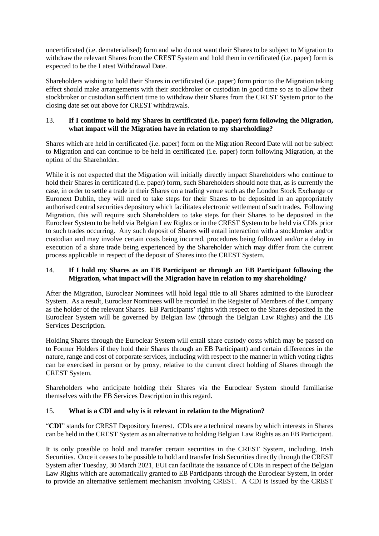uncertificated (i.e. dematerialised) form and who do not want their Shares to be subject to Migration to withdraw the relevant Shares from the CREST System and hold them in certificated (i.e. paper) form is expected to be the Latest Withdrawal Date.

Shareholders wishing to hold their Shares in certificated (i.e. paper) form prior to the Migration taking effect should make arrangements with their stockbroker or custodian in good time so as to allow their stockbroker or custodian sufficient time to withdraw their Shares from the CREST System prior to the closing date set out above for CREST withdrawals.

# 13. **If I continue to hold my Shares in certificated (i.e. paper) form following the Migration, what impact will the Migration have in relation to my shareholding?**

Shares which are held in certificated (i.e. paper) form on the Migration Record Date will not be subject to Migration and can continue to be held in certificated (i.e. paper) form following Migration, at the option of the Shareholder.

While it is not expected that the Migration will initially directly impact Shareholders who continue to hold their Shares in certificated (i.e. paper) form, such Shareholders should note that, as is currently the case, in order to settle a trade in their Shares on a trading venue such as the London Stock Exchange or Euronext Dublin, they will need to take steps for their Shares to be deposited in an appropriately authorised central securities depository which facilitates electronic settlement of such trades. Following Migration, this will require such Shareholders to take steps for their Shares to be deposited in the Euroclear System to be held via Belgian Law Rights or in the CREST System to be held via CDIs prior to such trades occurring. Any such deposit of Shares will entail interaction with a stockbroker and/or custodian and may involve certain costs being incurred, procedures being followed and/or a delay in execution of a share trade being experienced by the Shareholder which may differ from the current process applicable in respect of the deposit of Shares into the CREST System.

# 14. **If I hold my Shares as an EB Participant or through an EB Participant following the Migration, what impact will the Migration have in relation to my shareholding?**

After the Migration, Euroclear Nominees will hold legal title to all Shares admitted to the Euroclear System. As a result, Euroclear Nominees will be recorded in the Register of Members of the Company as the holder of the relevant Shares. EB Participants' rights with respect to the Shares deposited in the Euroclear System will be governed by Belgian law (through the Belgian Law Rights) and the EB Services Description.

Holding Shares through the Euroclear System will entail share custody costs which may be passed on to Former Holders if they hold their Shares through an EB Participant) and certain differences in the nature, range and cost of corporate services, including with respect to the manner in which voting rights can be exercised in person or by proxy, relative to the current direct holding of Shares through the CREST System.

Shareholders who anticipate holding their Shares via the Euroclear System should familiarise themselves with the EB Services Description in this regard.

# 15. **What is a CDI and why is it relevant in relation to the Migration?**

"**CDI**" stands for CREST Depository Interest. CDIs are a technical means by which interests in Shares can be held in the CREST System as an alternative to holding Belgian Law Rights as an EB Participant.

It is only possible to hold and transfer certain securities in the CREST System, including, Irish Securities. Once it ceases to be possible to hold and transfer Irish Securities directly through the CREST System after Tuesday, 30 March 2021, EUI can facilitate the issuance of CDIs in respect of the Belgian Law Rights which are automatically granted to EB Participants through the Euroclear System, in order to provide an alternative settlement mechanism involving CREST. A CDI is issued by the CREST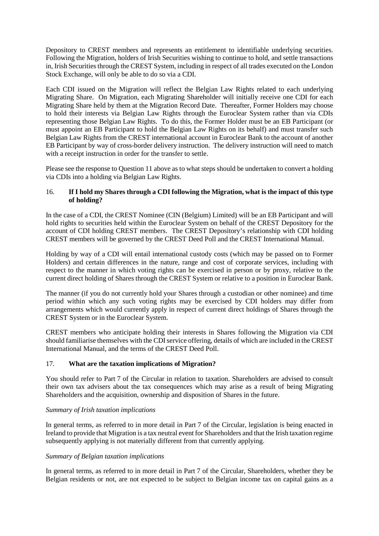Depository to CREST members and represents an entitlement to identifiable underlying securities. Following the Migration, holders of Irish Securities wishing to continue to hold, and settle transactions in, Irish Securities through the CREST System, including in respect of all trades executed on the London Stock Exchange, will only be able to do so via a CDI.

Each CDI issued on the Migration will reflect the Belgian Law Rights related to each underlying Migrating Share. On Migration, each Migrating Shareholder will initially receive one CDI for each Migrating Share held by them at the Migration Record Date. Thereafter, Former Holders may choose to hold their interests via Belgian Law Rights through the Euroclear System rather than via CDIs representing those Belgian Law Rights. To do this, the Former Holder must be an EB Participant (or must appoint an EB Participant to hold the Belgian Law Rights on its behalf) and must transfer such Belgian Law Rights from the CREST international account in Euroclear Bank to the account of another EB Participant by way of cross-border delivery instruction. The delivery instruction will need to match with a receipt instruction in order for the transfer to settle.

Please see the response to Question [11](#page-3-0) above as to what steps should be undertaken to convert a holding via CDIs into a holding via Belgian Law Rights.

## 16. **If I hold my Shares through a CDI following the Migration, what is the impact of this type of holding?**

In the case of a CDI, the CREST Nominee (CIN (Belgium) Limited) will be an EB Participant and will hold rights to securities held within the Euroclear System on behalf of the CREST Depository for the account of CDI holding CREST members. The CREST Depository's relationship with CDI holding CREST members will be governed by the CREST Deed Poll and the CREST International Manual.

Holding by way of a CDI will entail international custody costs (which may be passed on to Former Holders) and certain differences in the nature, range and cost of corporate services, including with respect to the manner in which voting rights can be exercised in person or by proxy, relative to the current direct holding of Shares through the CREST System or relative to a position in Euroclear Bank.

The manner (if you do not currently hold your Shares through a custodian or other nominee) and time period within which any such voting rights may be exercised by CDI holders may differ from arrangements which would currently apply in respect of current direct holdings of Shares through the CREST System or in the Euroclear System.

CREST members who anticipate holding their interests in Shares following the Migration via CDI should familiarise themselves with the CDI service offering, details of which are included in the CREST International Manual, and the terms of the CREST Deed Poll.

# 17. **What are the taxation implications of Migration?**

You should refer to Part 7 of the Circular in relation to taxation. Shareholders are advised to consult their own tax advisers about the tax consequences which may arise as a result of being Migrating Shareholders and the acquisition, ownership and disposition of Shares in the future.

#### *Summary of Irish taxation implications*

In general terms, as referred to in more detail in Part 7 of the Circular, legislation is being enacted in Ireland to provide that Migration is a tax neutral event for Shareholders and that the Irish taxation regime subsequently applying is not materially different from that currently applying.

#### *Summary of Belgian taxation implications*

In general terms, as referred to in more detail in Part 7 of the Circular, Shareholders, whether they be Belgian residents or not, are not expected to be subject to Belgian income tax on capital gains as a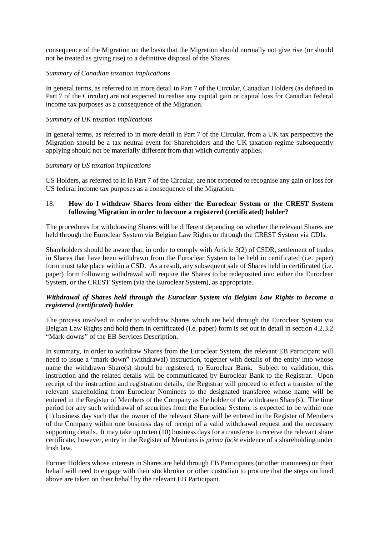consequence of the Migration on the basis that the Migration should normally not give rise (or should not be treated as giving rise) to a definitive disposal of the Shares.

#### *Summary of Canadian taxation implications*

In general terms, as referred to in more detail in Part 7 of the Circular, Canadian Holders (as defined in Part 7 of the Circular) are not expected to realise any capital gain or capital loss for Canadian federal income tax purposes as a consequence of the Migration.

#### *Summary of UK taxation implications*

In general terms, as referred to in more detail in Part 7 of the Circular, from a UK tax perspective the Migration should be a tax neutral event for Shareholders and the UK taxation regime subsequently applying should not be materially different from that which currently applies.

#### *Summary of US taxation implications*

US Holders, as referred to in in Part 7 of the Circular, are not expected to recognise any gain or loss for US federal income tax purposes as a consequence of the Migration.

## <span id="page-6-0"></span>18. **How do I withdraw Shares from either the Euroclear System or the CREST System following Migration in order to become a registered (certificated) holder?**

The procedures for withdrawing Shares will be different depending on whether the relevant Shares are held through the Euroclear System via Belgian Law Rights or through the CREST System via CDIs.

Shareholders should be aware that, in order to comply with Article 3(2) of CSDR, settlement of trades in Shares that have been withdrawn from the Euroclear System to be held in certificated (i.e. paper) form must take place within a CSD. As a result, any subsequent sale of Shares held in certificated (i.e. paper) form following withdrawal will require the Shares to be redeposited into either the Euroclear System, or the CREST System (via the Euroclear System), as appropriate*.*

#### *Withdrawal of Shares held through the Euroclear System via Belgian Law Rights to become a registered (certificated) holder*

The process involved in order to withdraw Shares which are held through the Euroclear System via Belgian Law Rights and hold them in certificated (i.e. paper) form is set out in detail in section 4.2.3.2 "Mark-downs" of the EB Services Description.

In summary, in order to withdraw Shares from the Euroclear System, the relevant EB Participant will need to issue a "mark-down" (withdrawal) instruction, together with details of the entity into whose name the withdrawn Share(s) should be registered, to Euroclear Bank. Subject to validation, this instruction and the related details will be communicated by Euroclear Bank to the Registrar. Upon receipt of the instruction and registration details, the Registrar will proceed to effect a transfer of the relevant shareholding from Euroclear Nominees to the designated transferee whose name will be entered in the Register of Members of the Company as the holder of the withdrawn Share(s). The time period for any such withdrawal of securities from the Euroclear System, is expected to be within one (1) business day such that the owner of the relevant Share will be entered in the Register of Members of the Company within one business day of receipt of a valid withdrawal request and the necessary supporting details. It may take up to ten (10) business days for a transferee to receive the relevant share certificate, however, entry in the Register of Members is *prima facie* evidence of a shareholding under Irish law.

Former Holders whose interests in Shares are held through EB Participants (or other nominees) on their behalf will need to engage with their stockbroker or other custodian to procure that the steps outlined above are taken on their behalf by the relevant EB Participant.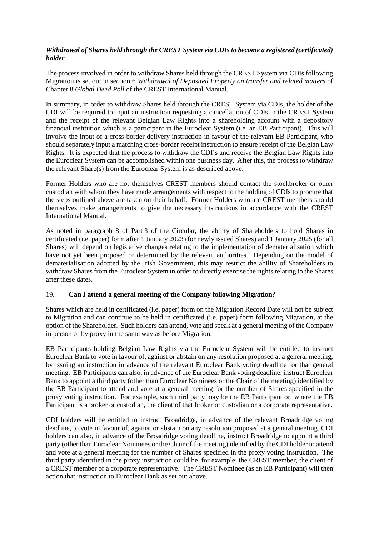## *Withdrawal of Shares held through the CREST System via CDIs to become a registered (certificated) holder*

The process involved in order to withdraw Shares held through the CREST System via CDIs following Migration is set out in section 6 *Withdrawal of Deposited Property on transfer and related matters* of Chapter 8 *Global Deed Poll* of the CREST International Manual.

In summary, in order to withdraw Shares held through the CREST System via CDIs, the holder of the CDI will be required to input an instruction requesting a cancellation of CDIs in the CREST System and the receipt of the relevant Belgian Law Rights into a shareholding account with a depository financial institution which is a participant in the Euroclear System (i.e. an EB Participant). This will involve the input of a cross-border delivery instruction in favour of the relevant EB Participant, who should separately input a matching cross-border receipt instruction to ensure receipt of the Belgian Law Rights. It is expected that the process to withdraw the CDI's and receive the Belgian Law Rights into the Euroclear System can be accomplished within one business day. After this, the process to withdraw the relevant Share(s) from the Euroclear System is as described above.

Former Holders who are not themselves CREST members should contact the stockbroker or other custodian with whom they have made arrangements with respect to the holding of CDIs to procure that the steps outlined above are taken on their behalf. Former Holders who are CREST members should themselves make arrangements to give the necessary instructions in accordance with the CREST International Manual.

As noted in paragraph 8 of Part 3 of the Circular, the ability of Shareholders to hold Shares in certificated (i.e. paper) form after 1 January 2023 (for newly issued Shares) and 1 January 2025 (for all Shares) will depend on legislative changes relating to the implementation of dematerialisation which have not yet been proposed or determined by the relevant authorities. Depending on the model of dematerialisation adopted by the Irish Government, this may restrict the ability of Shareholders to withdraw Shares from the Euroclear System in order to directly exercise the rights relating to the Shares after these dates.

#### 19. **Can I attend a general meeting of the Company following Migration?**

Shares which are held in certificated (i.e. paper) form on the Migration Record Date will not be subject to Migration and can continue to be held in certificated (i.e. paper) form following Migration, at the option of the Shareholder. Such holders can attend, vote and speak at a general meeting of the Company in person or by proxy in the same way as before Migration.

EB Participants holding Belgian Law Rights via the Euroclear System will be entitled to instruct Euroclear Bank to vote in favour of, against or abstain on any resolution proposed at a general meeting, by issuing an instruction in advance of the relevant Euroclear Bank voting deadline for that general meeting. EB Participants can also, in advance of the Euroclear Bank voting deadline, instruct Euroclear Bank to appoint a third party (other than Euroclear Nominees or the Chair of the meeting) identified by the EB Participant to attend and vote at a general meeting for the number of Shares specified in the proxy voting instruction. For example, such third party may be the EB Participant or, where the EB Participant is a broker or custodian, the client of that broker or custodian or a corporate representative.

CDI holders will be entitled to instruct Broadridge, in advance of the relevant Broadridge voting deadline, to vote in favour of, against or abstain on any resolution proposed at a general meeting. CDI holders can also, in advance of the Broadridge voting deadline, instruct Broadridge to appoint a third party (other than Euroclear Nominees or the Chair of the meeting) identified by the CDI holder to attend and vote at a general meeting for the number of Shares specified in the proxy voting instruction. The third party identified in the proxy instruction could be, for example, the CREST member, the client of a CREST member or a corporate representative. The CREST Nominee (as an EB Participant) will then action that instruction to Euroclear Bank as set out above.